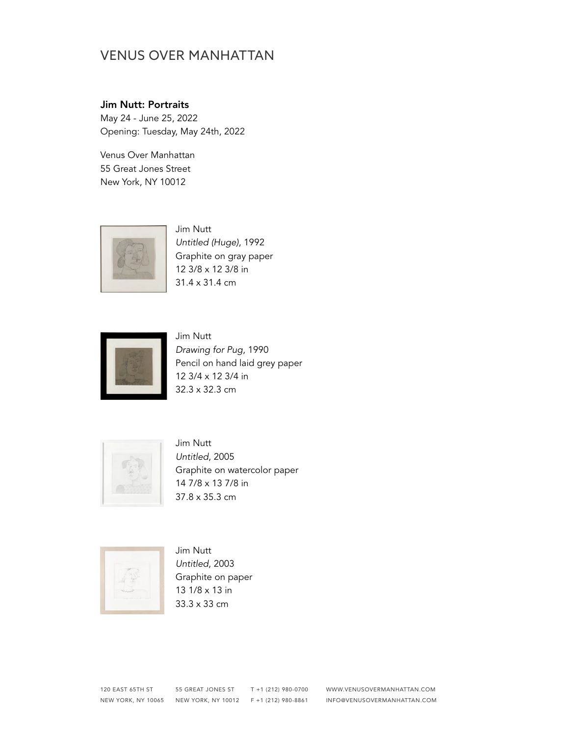#### Jim Nutt: Portraits

May 24 - June 25, 2022 Opening: Tuesday, May 24th, 2022

Venus Over Manhattan 55 Great Jones Street New York, NY 10012



Jim Nutt *Untitled (Huge)*, 1992 Graphite on gray paper 12 3/8 x 12 3/8 in 31.4 x 31.4 cm



Jim Nutt *Drawing for Pug*, 1990 Pencil on hand laid grey paper 12 3/4 x 12 3/4 in 32.3 x 32.3 cm



Jim Nutt *Untitled*, 2005 Graphite on watercolor paper 14 7/8 x 13 7/8 in 37.8 x 35.3 cm



Jim Nutt *Untitled*, 2003 Graphite on paper 13 1/8 x 13 in 33.3 x 33 cm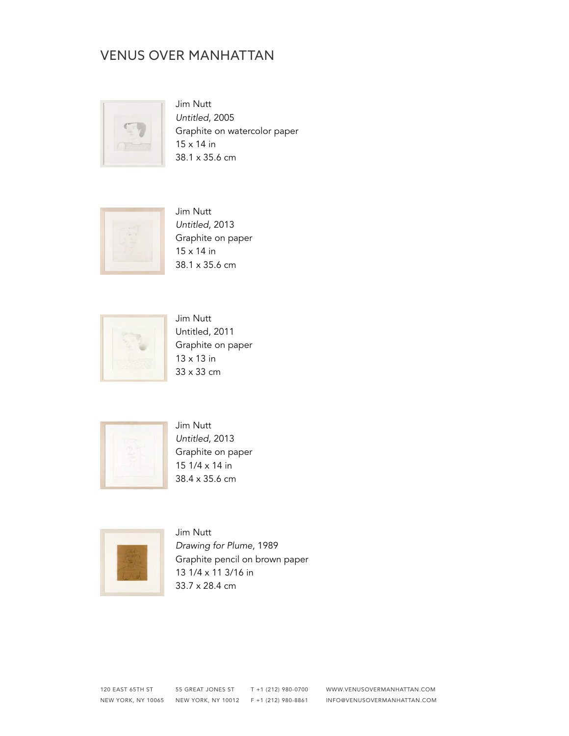

Jim Nutt *Untitled*, 2005 Graphite on watercolor paper 15 x 14 in 38.1 x 35.6 cm



Jim Nutt *Untitled*, 2013 Graphite on paper 15 x 14 in 38.1 x 35.6 cm



Jim Nutt Untitled, 2011 Graphite on paper 13 x 13 in 33 x 33 cm



Jim Nutt *Untitled*, 2013 Graphite on paper 15 1/4 x 14 in 38.4 x 35.6 cm



Jim Nutt *Drawing for Plume*, 1989 Graphite pencil on brown paper 13 1/4 x 11 3/16 in 33.7 x 28.4 cm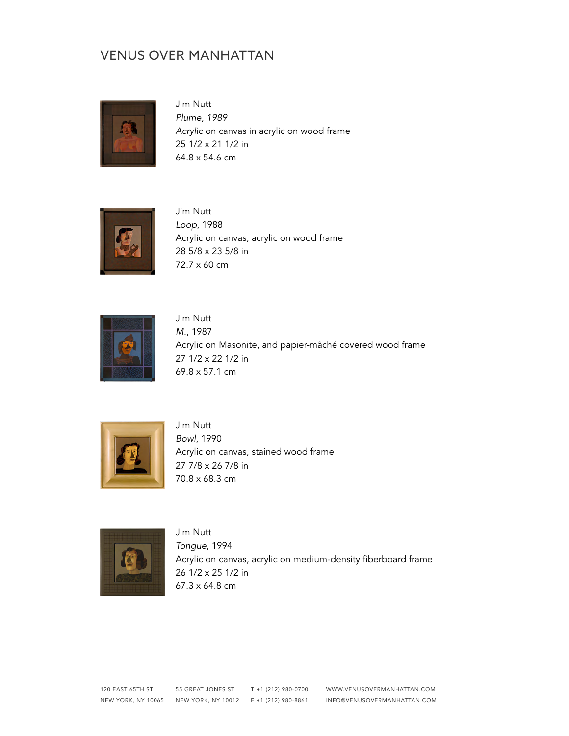

Jim Nutt *Plume, 1989 Acryl*ic on canvas in acrylic on wood frame 25 1/2 x 21 1/2 in 64.8 x 54.6 cm



Jim Nutt *Loop*, 1988 Acrylic on canvas, acrylic on wood frame 28 5/8 x 23 5/8 in 72.7 x 60 cm



Jim Nutt *M.*, 1987 Acrylic on Masonite, and papier-mâché covered wood frame 27 1/2 x 22 1/2 in 69.8 x 57.1 cm



Jim Nutt *Bowl*, 1990 Acrylic on canvas, stained wood frame 27 7/8 x 26 7/8 in 70.8 x 68.3 cm



Jim Nutt *Tongue*, 1994 Acrylic on canvas, acrylic on medium-density fiberboard frame 26 1/2 x 25 1/2 in 67.3 x 64.8 cm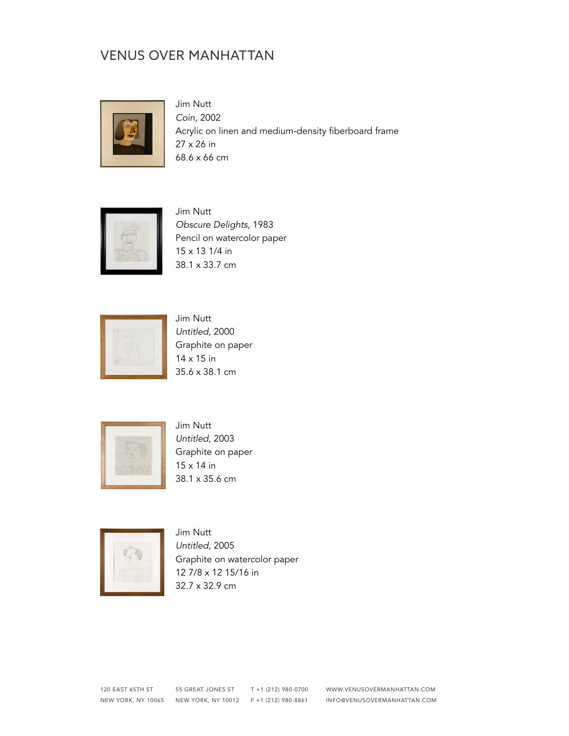

Jim Nutt *Coin*, 2002 Acrylic on linen and medium-density fiberboard frame 27 x 26 in 68.6 x 66 cm



Jim Nutt *Obscure Delights*, 1983 Pencil on watercolor paper 15 x 13 1/4 in 38.1 x 33.7 cm



Jim Nutt *Untitled*, 2000 Graphite on paper 14 x 15 in 35.6 x 38.1 cm



Jim Nutt *Untitled*, 2003 Graphite on paper 15 x 14 in 38.1 x 35.6 cm



Jim Nutt *Untitled*, 2005 Graphite on watercolor paper 12 7/8 x 12 15/16 in 32.7 x 32.9 cm